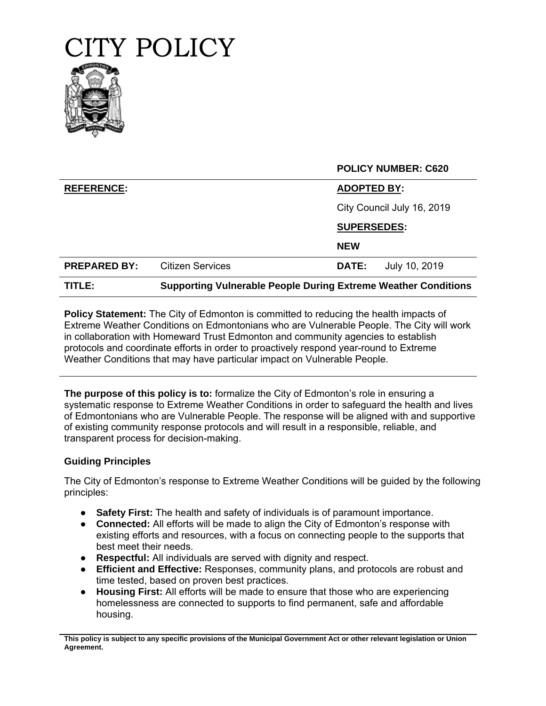

|                     |                                                                       | <b>POLICY NUMBER: C620</b>    |
|---------------------|-----------------------------------------------------------------------|-------------------------------|
| <b>REFERENCE:</b>   |                                                                       | <b>ADOPTED BY:</b>            |
|                     |                                                                       | City Council July 16, 2019    |
|                     |                                                                       | <b>SUPERSEDES:</b>            |
|                     |                                                                       | <b>NEW</b>                    |
| <b>PREPARED BY:</b> | <b>Citizen Services</b>                                               | July 10, 2019<br><b>DATE:</b> |
| TITLE:              | <b>Supporting Vulnerable People During Extreme Weather Conditions</b> |                               |

**Policy Statement:** The City of Edmonton is committed to reducing the health impacts of Extreme Weather Conditions on Edmontonians who are Vulnerable People. The City will work in collaboration with Homeward Trust Edmonton and community agencies to establish protocols and coordinate efforts in order to proactively respond year-round to Extreme Weather Conditions that may have particular impact on Vulnerable People.

**The purpose of this policy is to:** formalize the City of Edmonton's role in ensuring a systematic response to Extreme Weather Conditions in order to safeguard the health and lives of Edmontonians who are Vulnerable People. The response will be aligned with and supportive of existing community response protocols and will result in a responsible, reliable, and transparent process for decision-making.

## **Guiding Principles**

The City of Edmonton's response to Extreme Weather Conditions will be guided by the following principles:

- **Safety First:** The health and safety of individuals is of paramount importance.
- **Connected:** All efforts will be made to align the City of Edmonton's response with existing efforts and resources, with a focus on connecting people to the supports that best meet their needs.
- **Respectful:** All individuals are served with dignity and respect.
- **Efficient and Effective:** Responses, community plans, and protocols are robust and time tested, based on proven best practices.
- **Housing First:** All efforts will be made to ensure that those who are experiencing homelessness are connected to supports to find permanent, safe and affordable housing.

**This policy is subject to any specific provisions of the Municipal Government Act or other relevant legislation or Union Agreement.**